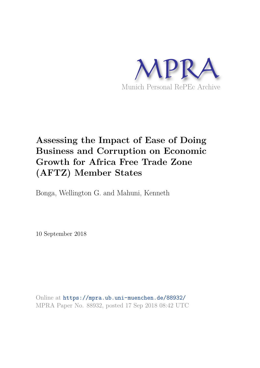

# **Assessing the Impact of Ease of Doing Business and Corruption on Economic Growth for Africa Free Trade Zone (AFTZ) Member States**

Bonga, Wellington G. and Mahuni, Kenneth

10 September 2018

Online at https://mpra.ub.uni-muenchen.de/88932/ MPRA Paper No. 88932, posted 17 Sep 2018 08:42 UTC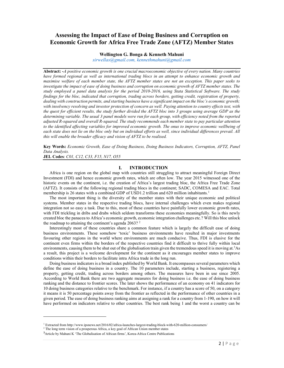# Assessing the Impact of Ease of Doing Business and Corruption on Economic Growth for Africa Free Trade Zone (AFTZ) Member States

#### Wellington G. Bonga & Kenneth Mahuni

sirwellas@gmail.com, kennethmahuni@gmail.com

Abstract: -A positive economic growth is one crucial macroeconomic objective of every nation. Many countries have formed regional as well as international trading blocs in an attempt to enhance economic growth and maximise welfare of each member state, the AFTZ member states are not an exception. This paper seeks to investigate the impact of ease of doing business and corruption on economic growth of AFTZ member states. The study employed a panel data analysis for the period 2010-2016, using Stata Statistical Software. The study findings for the bloc, indicated that corruption, trading across borders, getting credit, registration of property, dealing with construction permits, and starting business have a significant impact on the bloc's economic growth; with insolvency resolving and investor protection of concern as well. Paying attention to country effects test, with the quest for efficient results, the study further divided the AFTZ bloc into 3 groups using average GDP as the determining variable. The usual 3 panel models were run for each group, with efficiency noted from the reported adjusted R-squared and overall R-squared. The study recommends each member state to pay particular attention to the identified affecting variables for improved economic growth. The onus to improve economic wellbeing of each state does not lie on the bloc only but on individual efforts as well, since individual differences prevail. All this will enable the broader efficacy and vision of AFTZ to be realised.

Key Words: Economic Growth, Ease of Doing Business, Doing Business Indicators, Corruption, AFTZ, Panel Data Analysis.

JEL Codes: C01, C12, C33, F15, N17, O55

### I. INTRODUCTION

Africa is one region on the global map with countries still struggling to attract meaningful Foreign Direct Investment (FDI) and hence economic growth rates, which are often low. The year 2015 witnessed one of the historic events on the continent, i.e. the creation of Africa's largest trading bloc, the Africa Free Trade Zone (AFTZ). It consists of the following regional trading blocs in the continent; SADC, COMESA and EAC. Total membership is 26 states with a combined GDP of USD1.2 trillion and 620 million inhabitants.<sup>1</sup>

The most important thing is the diversity of the member states with their unique economic and political systems. Member states in the respective trading blocs, have internal challenges which even makes regional integration not so easy a task. Due to this, most of these countries have painfully lower economic growth rates, with FDI trickling in dribs and drabs which seldom transforms these economies meaningfully. So is this newly created bloc the panacea to Africa's economic growth, economic integration challenges etc.? Will this bloc unlock the roadmap to attaining the continent's agenda  $2063$ ? <sup>2</sup>

Interestingly most of these countries share a common feature which is largely the difficult ease of doing business environments. These somehow 'toxic' business environments have resulted in major investments favouring other regions in the world where environments are much conducive. Thus, FDI is elusive for the continent even firms within the borders of the respective countries find it difficult to thrive fully within local environments, causing them to be shut out of the globalisation train given the tremendous speed it is moving at.<sup>3</sup>As a result, this project is a welcome development for the continent as it encourages member states to improve conditions within their borders to facilitate intra Africa trade in the long run.

Doing business indicators is a broad index published by World Bank. It encompasses several parameters which define the ease of doing business in a country. The 10 parameters include, starting a business, registering a property, getting credit, trading across borders among others. The measures have been in use since 2005. According to World Bank there are two aggregate measures for doing business i.e. the ease of doing business ranking and the distance to frontier scores. The later shows the performance of an economy on 41 indicators for 10 doing business categories relative to the benchmark. For instance, if a country has a score of 50, on a category it means it is 50 percentage points away from the frontier as reflected in the performance of other countries in a given period. The ease of doing business ranking aims at assigning a rank for a country from 1-190, on how it will have performed on indicators relative to other countries. The best rank being 1 and the worst a country can be

**.** 

<sup>1</sup> Extracted from http://www.ipsnews.net/2016/02/africa-launches-largest-trading-block-with-620-million-consumers/

<sup>&</sup>lt;sup>2</sup> The long term vision of a prosperous Africa, a key goal of African Union member states

<sup>&</sup>lt;sup>3</sup>Article by Mahuni K 'The Globalisation of African firms', Korea-Africa Centre Publications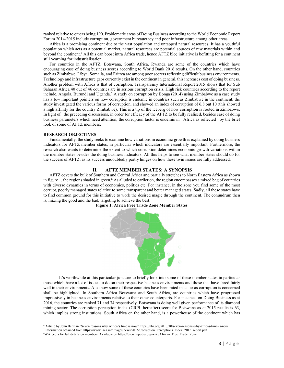ranked relative to others being 190. Problematic areas of Doing Business according to the World Economic Report Forum 2014-2015 include corruption, government bureaucracy and poor infrastructure among other areas.

Africa is a promising continent due to the vast population and untapped natural resources. It has a youthful population which acts as a potential market, natural resources are potential sources of raw materials within and beyond the continent.<sup>4</sup> All this can boost intra Africa trade, hence AFTZ bloc initiative is befitting for a continent still yearning for industrialisation.

For countries in the AFTZ, Botswana, South Africa, Rwanda are some of the countries which have encouraging ease of doing business scores according to World Bank 2016 results. On the other hand, countries such as Zimbabwe, Libya, Somalia, and Eritrea are among poor scorers reflecting difficult business environments. Technology and infrastructure gaps currently exist in the continent in general, this increases cost of doing business. Another problem with Africa is that of corruption. Transparency International Report 2015 shows that for Sub Saharan Africa 40 out of 46 countries are in serious corruption crisis. High risk countries according to the report include, Angola, Burundi and Uganda.<sup>5</sup> A study on corruption by Bonga (2014) using Zimbabwe as a case study has a few important pointers on how corruption is endemic in countries such as Zimbabwe in the continent; the study investigated the various forms of corruption, and showed an index of corruption of 6.8 out 10 (this showed a high affinity for the country Zimbabwe). This is a tip of the iceberg of how corruption is rooted in Zimbabwe. In light of the preceding discussions, in order for efficacy of the AFTZ to be fully realised, besides ease of doing business parameters which need attention, the corruption factor is endemic in Africa as reflected by the brief look of some of AFTZ members.

#### RESEARCH OBJECTIVES

**.** 

Fundamentally, the study seeks to examine how variations in economic growth is explained by doing business indicators for AFTZ member states, in particular which indicators are essentially important. Furthermore, the research also wants to determine the extent to which corruption determines economic growth variations within the member states besides the doing business indicators. All this helps to see what member states should do for the success of AFTZ, as its success undoubtedly partly hinges on how these twin issues are fully addressed.

## II. AFTZ MEMBER STATES: A SYNOPSIS

AFTZ covers the bulk of Southern and Central Africa and partially stretches to North Eastern Africa as shown in figure 1, the regions shaded in green.<sup>6</sup> As alluded to earlier on, the region encompasses a mixed bag of countries with diverse dynamics in terms of economics, politics etc. For instance, in the zone you find some of the most corrupt, poorly managed states relative to some transparent and better managed states. Sadly, all these states have to find common ground for this initiative to work the desired magic through the continent. The conundrum then is, mixing the good and the bad, targeting to achieve the best.





It's worthwhile at this particular juncture to briefly look into some of these member states in particular those which have a lot of issues to do on their respective business environments and those that have fared fairly well in their environments. Also how some of these countries have been rated in as far as corruption is concerned shall be highlighted. In Southern Africa Botswana and South Africa, are countries which have progressed impressively in business environments relative to their other counterparts. For instance, on Doing Business as at 2016, the countries are ranked 71 and 74 respectively. Botswana is doing well given performance of its diamond mining sector. The corruption perception index (CRPI, hereafter) score for Botswana as at 2015 results is 63, which implies strong institutions. South Africa on the other hand, is a powerhouse of the continent which has

<sup>4</sup> Article by John Berman "Seven reasons why Africa's time is now" https://hbr.org/2013/10/seven-reasons-why-africas-time-is-now

<sup>5</sup> Information obtained from https://www.iaca.int/images/news/2016/Corruption\_Perceptions\_Index\_2015\_report.pdf

<sup>6</sup>Wikipedia for full details on members. Available on https://en.wikipedia.org/wiki/African\_Free\_Trade\_Zone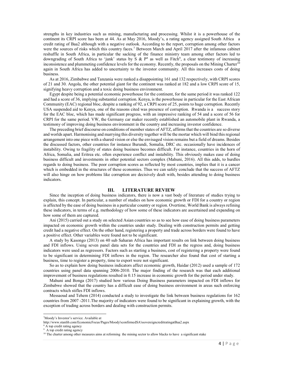strengths in key industries such as mining, manufacturing and processing. Whilst it is a powerhouse of the continent its CRPI score has been at 44. As at May 2016, Moody's, a rating agency assigned South Africa a credit rating of Baa2 although with a negative outlook. According to the report, corruption among other factors were the sources of risks which this country faces.<sup>7</sup> Between March and April 2017 after the infamous cabinet reshuffle in South Africa, in particular the sacking of the finance ministry team among other factors led to downgrading of South Africa to 'junk' status by S &  $P^8$  as well as Fitch<sup>9</sup>, a clear testimony of increasing inconsistence and plummeting confidence levels for the economy. Recently, the proposals on the Mining Charter<sup>10</sup> again in South Africa has added to uncertainty to the investor community. All this increases costs of doing business.

As at 2016, Zimbabwe and Tanzania were ranked a disappointing 161 and 132 respectively, with CRPI scores of 21 and 30. Angola, the other potential giant for the continent was ranked at 182 and a low CRPI score of 15, signifying heavy corruption and a toxic doing business environment.

Egypt despite being a potential economic powerhouse for the continent, for the same period it was ranked 122 and had a score of 36, implying substantial corruption. Kenya, is the powerhouse in particular for the East African Community (EAC) regional bloc, despite a ranking of 92, a CRPI score of 25, points to huge corruption. Recently USA suspended aid to Kenya, one of the reasons cited was presence of corruption. Rwanda is a success story for the EAC bloc, which has made significant progress, with an impressive ranking of 54 and a score of 56 for CRPI for the same period. VW, the Germany car maker recently established an automobile plant in Rwanda, a testimony of improving doing business environment in the country and increasing investor confidence.

The preceding brief discourse on conditions of member states of AFTZ, affirms that the countries are so diverse and worlds apart. Harmonising and marrying this diversity together will be the mortar which will bind this regional arrangement into one piece with a shared vision or else the envisaged vision remains but a field of dreams. Besides the discussed factors, other countries for instance Burundi, Somalia, DRC etc. occasionally have incidences of instability. Owing to fragility of states doing business becomes difficult. For instance, countries in the horn of Africa, Somalia, and Eritrea etc. often experience conflict and instability. This obviously makes ease of doing business difficult and investments in other potential sectors complex (Mahuni, 2016). All this adds, to hurdles regards to doing business. The poor corruption scores as reflected by most countries, implies that it is a cancer which is embedded in the structures of these economies. Thus we can safely conclude that the success of AFTZ will also hinge on how problems like corruption are decisively dealt with, besides attending to doing business indicators.

#### III. LITERATURE REVIEW

Since the inception of doing business indicators, there is now a vast body of literature of studies trying to explain, this concept. In particular, a number of studies on how economic growth or FDI for a country or region is affected by the ease of doing business in a particular country or region. Overtime, World Bank is always refining these indicators, in terms of e.g. methodology of how some of these indicators are ascertained and expanding on how some of them are captured.

Ani (2015) carried out a study on selected Asian countries so as to see how ease of doing business parameters impacted on economic growth within the countries under study. Dealing with construction permits and getting credit had a negative effect. On the other hand, registering a property and trade across borders were found to have a positive effect. Other variables were found not to be significant.

A study by Kasongo (2013) on 40 sub Saharan Africa has important results on link between doing business and FDI inflows. Using seven panel data sets for the countries and FDI as the regress and, doing business indicators were used as regressors. Factors such as starting a business, cost of registering a property were found to be significant in determining FDI inflows in the region. The researcher also found that cost of starting a business, time to register a property, time to export were not significant.

So as to explain how doing business indicators affect economic growth, Haidar (2012) used a sample of 172 countries using panel data spanning 2006-2010. The major finding of the research was that each additional improvement of business regulations resulted in 0.15 increase in economic growth for the period under study.

Mahuni and Bonga (2017) studied how various Doing Business parameters impacted on FDI inflows for Zimbabwe showed that the country has a difficult ease of doing business environment in areas such enforcing contracts which stifles FDI inflows.

Messaoud and Tehem (2014) conducted a study to investigate the link between business regulations for 162 countries from 2007 -2011.The majority of indicators were found to be significant in explaining growth, with the exception of trading across borders and dealing with construction permits.

**.** 

<sup>7</sup>Moody's Investor's service. Available at

http://www.stanlib.com/EconomicFocus/Pages/Moody'sconfirmedSA'ssovereigncreditratingatBaa2.aspx

<sup>8</sup> A top credit rating agency

<sup>&</sup>lt;sup>9</sup> A top credit rating agency

<sup>&</sup>lt;sup>10</sup> The charter among other measures aims at reforming the mining sector to allow blacks to have a significant stake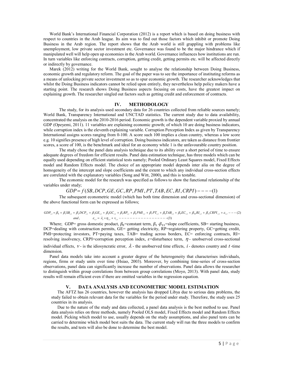World Bank's International Financial Corporation (2012) is a report which is based on doing business with respect to countries in the Arab league. Its aim was to find out those factors which inhibit or promote Doing Business in the Arab region. The report shows that the Arab world is still grappling with problems like unemployment, low private sector investment etc. Governance was found to be the major hindrance which if manipulated well will help open up economies in the Arab world. Governance influences how institutions are run. In turn variables like enforcing contracts, corruption, getting credit, getting permits etc. will be affected directly or indirectly by governance.

Marek (2012) writing for the World Bank, sought to analyse the relationship between Doing Business, economic growth and regulatory reform. The goal of the paper was to see the importance of instituting reforms as a means of unlocking private sector investment so as to spur economic growth. The researcher acknowledges that whilst the Doing Business indicators cannot be relied upon entirely, they nevertheless help policy makers have a starting point. The research shows Doing Business aspects focusing on costs, have the greatest impact on explaining growth. The researcher singled out factors such as getting credit and enforcement of contracts.

#### IV. METHODOLOGY

The study, for its analysis used secondary data for 26 countries collected from reliable sources namely; World Bank, Transparency International and UNCTAD statistics. The current study due to data availability, concentrated the analysis on the 2010-2016 period. Economic growth is the dependent variable proxied by annual GDP (Opeyemi, 2011). 11 variables are explaining economic growth; of which 10 are doing business indicators, while corruption index is the eleventh explaining variable. Corruption Perception Index as given by Transparency International assigns scores ranging from 0-100. A score such 100 implies a clean country, whereas a low score e.g. 10 signifies presence of high level of corruption. Doing business indicators, are taken as distance from frontier scores, a score of 100, is the benchmark and ideal for an economy while 1 is the unfavourable country position.

The study chose the panel data analysis technique due to its ability over a short period of time to ensure adequate degrees of freedom for efficient results. Panel data estimation technique, has three models which can be equally used depending on efficient statistical tests namely; Pooled Ordinary Least Squares model, Fixed Effects model and Random Effects model. The choice of an appropriate model depends inter alia on the degree of homogeneity of the intercept and slope coefficients and the extent to which any individual cross-section effects are correlated with the explanatory variables (Song and Witt, 2000), and this is testable.

The economic model for the research was specified as follows to show the functional relationship of the variables under study;

$$
GDP = f(SB, DCP, GE, GC, RP, PMI, PT, TAB, EC, RI, CRPI) --- (1)
$$

The subsequent econometric model (which has both time dimension and cross-sectional dimension) of the above functional form can be expressed as follows;

, )3( )2( , , , , 0 ,1 2 , ,3 ,4 ,5 6 , ,7 8 , ,9 ,10 11 , , tititti ti ti ti ti ti ti ti ti ti ti ti titi and v GDP SB DCP GE GC RP PMI PT TAB EC RI CRPI 

Where; GDP= gross domestic product,  $\beta_0$ =constant term,  $\beta_1 - \beta_{11}$ =slope coefficients, SB= starting business, DCP=dealing with construction permits, GE= getting electricity, RP=registering property, GC=getting credit, PMI=protecting investors, PT=paying taxes, TAB= trading across borders, EC= enforcing contracts, RI= resolving insolvency, CRPI=corruption perception index,  $\varepsilon$ =disturbance term,  $\eta$ - unobserved cross-sectional

individual effects,  $v$  - is the idiosyncratic error,  $\lambda$  - the unobserved time effects, i - denotes country and t-time dimension.

Panel data models take into account a greater degree of the heterogeneity that characterises individuals, regions, firms or study units over time (Hsiao, 2003). Moreover, by combining time-series of cross-section observations, panel data can significantly increase the number of observations. Panel data allows the researcher to distinguish within group correlations from between group correlations (Moyo, 2013). With panel data, study results will remain efficient even if there are omitted variables in the regression equation.

#### V. DATA ANALYSIS AND ECONOMETRIC MODEL ESTIMATION

The AFTZ has 26 countries, however the analysis has dropped Libya due to serious data problems, the study failed to obtain relevant data for the variables for the period under study. Therefore, the study uses 25 countries in its analysis.

Due to the nature of the study and data collected, a panel data analysis is the best method to use. Panel data analysis relies on three methods, namely Pooled OLS model, Fixed Effects model and Random Effects model. Picking which model to use, usually depends on the study assumptions, and also panel tests can be carried to determine which model best suits the data. The current study will run the three models to confirm the results, and tests will also be done to determine the best model.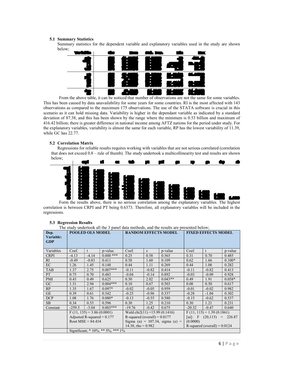#### 5.1 Summary Statistics

Summary statistics for the dependent variable and explanatory variables used in the study are shown below;



 From the above table, it can be noticed that number of observations are not the same for some variables. This has been caused by data unavailability for some years for some countries. RI is the most affected with 143 observations as compared to the maximum 175 observations. The use of the STATA software is crucial in this scenario as it can hold missing data. Variability is higher in the dependant variable as indicated by a standard deviation of 87.38, and this has been shown by the range where the minimum is 0.53 billion and maximum of 416.42 billion; there is greater difference in national income among AFTZ nations for the period under study. For the explanatory variables, variability is almost the same for each variable, RP has the lowest variability of 11.39, while GC has 22.77.

### 5.2 Correlation Matrix

-

Regressions for reliable results requires working with variables that are not serious correlated (correlation that does not exceed 0.8 – rule of thumb). The study undertook a multicollinearity test and results are shown below;



 Form the results above, there is no serious correlation among the explanatory variables. The highest correlation is between CRPI and PT being 0.6373. Therefore, all explanatory variables will be included in the regressions.

# 5.3 Regression Results

The study undertook all the 3 panel data methods, and the results are presented below;

| Dep.<br>Variable:<br><b>GDP</b> |          | <b>POOLED OLS MODEL</b>      |                                   |                                |         | <b>RANDOM EFFECTS MODEL</b>        | <b>FIXED EFFECTS MODEL</b>     |              |          |  |
|---------------------------------|----------|------------------------------|-----------------------------------|--------------------------------|---------|------------------------------------|--------------------------------|--------------|----------|--|
| Variables                       | Coef.    | t                            | p-value                           | Coef.                          | Z       | p-value                            | Coef.                          | $\mathbf{t}$ | p-value  |  |
| <b>CRPI</b>                     | $-4.13$  | $-4.14$                      | $0.000$ ***                       | 0.25                           | 0.58    | 0.565                              | 0.31                           | 0.70         | 0.485    |  |
| RI.                             | $-0.49$  | $-0.83$                      | 0.411                             | 0.58                           | 1.60    | 0.109                              | 0.62                           | 1.66         | $0.100*$ |  |
| EC                              | 1.26     | 1.45                         | 0.148                             | 0.44                           | 1.11    | 0.269                              | 0.44                           | 1.08         | 0.282    |  |
| <b>TAB</b>                      | 1.37     | 2.75                         | $0.007***$                        | $-0.11$                        | $-0.82$ | 0.414                              | $-0.11$                        | $-0.82$      | 0.413    |  |
| PT                              | 0.75     | 0.70                         | 0.483                             | $-0.04$                        | $-0.14$ | 0.892                              | $-0.03$                        | $-0.09$      | 0.928    |  |
| PMI                             | 0.43     | 0.49                         | 0.625                             | 0.50                           | 2.02    | $0.043**$                          | 0.49                           | 1.91         | $0.058*$ |  |
| GC                              | 1.31     | 2.94                         | $0.004***$                        | 0.10                           | 0.67    | 0.503                              | 0.08                           | 0.50         | 0.617    |  |
| RP                              | 1.35     | 1.67                         | $0.097*$                          | $-0.02$                        | $-0.05$ | 0.959                              | $-0.01$                        | $-0.02$      | 0.982    |  |
| <b>GE</b>                       | 0.39     | 0.61                         | 0.542                             | $-0.25$                        | $-0.96$ | 0.337                              | $-0.28$                        | $-1.04$      | 0.302    |  |
| DCP                             | 1.08     | 1.76                         | $0.080*$                          | $-0.13$                        | $-0.55$ | 0.580                              | $-0.15$                        | $-0.62$      | 0.537    |  |
| SB                              | 0.34     | 0.53                         | 0.596                             | 0.30                           | 1.25    | 0.210                              | 0.30                           | 1.21         | 0.231    |  |
| Constant                        | $-259.5$ | $-3.04$                      | $0.003***$                        | $-19.76$                       | $-0.42$ | 0.675                              | $-20.32$                       | $-0.47$      | 0.640    |  |
|                                 |          | $F(11, 135) = 3.86(0.0001)$  |                                   | Wald chi2(11) = 15.99 (0.1416) |         |                                    | $F(11, 115) = 1.39(0.1861)$    |              |          |  |
|                                 |          | Adjusted R-squared $= 0.177$ |                                   | R-squared (overall) = $0.0177$ |         |                                    | [ui]: F $(20,115) = 226.87$    |              |          |  |
|                                 |          | Root MSE = $84.434$          |                                   |                                |         | Sigma (u) = $107.34$ , sigma (e) = | (0.0000)                       |              |          |  |
|                                 |          |                              |                                   | 14.38, rho = $0.982$           |         |                                    | R-squared (overall) = $0.0124$ |              |          |  |
|                                 |          |                              | Significant; * 10%, ** 5%, *** 1% |                                |         |                                    |                                |              |          |  |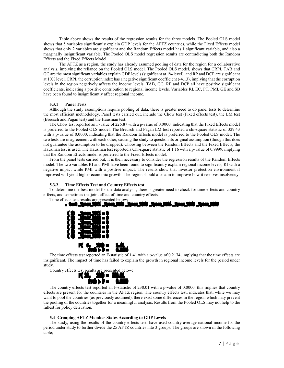Table above shows the results of the regression results for the three models. The Pooled OLS model shows that 5 variables significantly explain GDP levels for the AFTZ countries, while the Fixed Effects model shows that only 2 variables are significant and the Random Effects model has 1 significant variable, and also a marginally insignificant variable. The Pooled OLS model regression results are contradicting both the Random Effects and the Fixed Effects Model.

 The AFTZ as a region, the study has already assumed pooling of data for the region for a collaborative analysis, implying the reliance on the Pooled OLS model. The Pooled OLS model, shows that CRPI, TAB and GC are the most significant variables explain GDP levels (significant at 1% level), and RP and DCP are significant at 10% level. CRPI, the corruption index has a negative significant coefficient (-4.13), implying that the corruption levels in the region negatively affects the income levels. TAB, GC, RP and DCP all have positive significant coefficients, indicating a positive contribution to regional income levels. Variables RI, EC, PT, PMI, GE and SB have been found to insignificantly affect regional income.

### 5.3.1 Panel Tests

Although the study assumptions require pooling of data, there is greater need to do panel tests to determine the most efficient methodology. Panel tests carried out, include the Chow test (Fixed effects test), the LM test (Breusch and Pagan test) and the Hausman test.

The Chow test reported an F-value of 226.87 with a p-value of 0.0000, indicating that the Fixed Effects model is preferred to the Pooled OLS model. The Breusch and Pagan LM test reported a chi-square statistic of 329.43 with a p-value of 0.0000, indicating that the Random Effects model is preferred to the Pooled OLS model. The two tests are in agreement with each other, causing the study to question its original assumption (though this does not guarantee the assumption to be dropped). Choosing between the Random Effects and the Fixed Effects, the Hausman test is used. The Hausman test reported a Chi-square statistic of 1.16 with a p-value of 0.9999, implying that the Random Effects model is preferred to the Fixed Effects model.

From the panel tests carried out, it is then necessary to consider the regression results of the Random Effects model. The two variables RI and PMI have been found to significantly explain regional income levels, RI with a negative impact while PMI with a positive impact. The results show that investor protection environment if improved will yield higher economic growth. The region should also aim to improve how it resolves insolvency.

#### 5.3.2 Time Effects Test and Country Effects test

To determine the best model for the data analysis, there is greater need to check for time effects and country effects, and sometimes the joint effect of time and country effects.

Time effects test results are presented below;



The time effects test reported an F-statistic of 1.41 with a p-value of 0.2174, implying that the time effects are insignificant. The impact of time has failed to explain the growth in regional income levels for the period under study.

Country effects test results are presented below;



The country effects test reported an F-statistic of 230.01 with a p-value of 0.0000, this implies that country effects are present for the countries in the AFTZ region. The country effects test, indicates that, while we may want to pool the countries (as previously assumed), there exist some differences in the region which may prevent the pooling of the countries together for a meaningful analysis. Results from the Pooled OLS may not help to the fullest for policy derivation.

#### 5.4 Grouping AFTZ Member States According to GDP Levels

The study, using the results of the country effects test, have used country average national income for the period under study to further divide the 25 AFTZ countries into 3 groups. The groups are shown in the following table;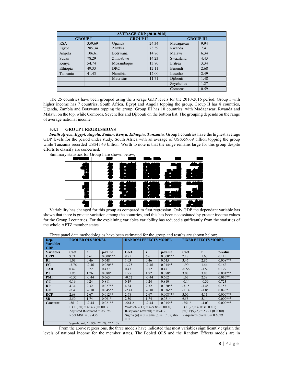|                | <b>AVERAGE GDP (2010-2016)</b> |                 |       |                  |      |  |  |  |  |  |  |  |  |  |
|----------------|--------------------------------|-----------------|-------|------------------|------|--|--|--|--|--|--|--|--|--|
| <b>GROUP I</b> |                                | <b>GROUP II</b> |       | <b>GROUP III</b> |      |  |  |  |  |  |  |  |  |  |
| <b>RSA</b>     | 359.69                         | Uganda          | 24.34 | Madagascar       | 9.94 |  |  |  |  |  |  |  |  |  |
| Egypt          | 285.34                         | Zambia          | 23.59 | Rwanda           | 7.41 |  |  |  |  |  |  |  |  |  |
| Angola         | 106.61                         | Botswana        | 14.86 | Malawi           | 6.34 |  |  |  |  |  |  |  |  |  |
| Sudan          | 78.29                          | Zimbabwe        | 14.23 | Swaziland        | 4.43 |  |  |  |  |  |  |  |  |  |
| Kenya          | 54.74                          | Mozambique      | 13.80 | Eritrea          | 3.34 |  |  |  |  |  |  |  |  |  |
| Ethiopia       | 49.33                          | <b>DRC</b>      | 12.11 | Burundi          | 2.68 |  |  |  |  |  |  |  |  |  |
| Tanzania       | 41.43                          | Namibia         | 12.00 | Lesotho          | 2.49 |  |  |  |  |  |  |  |  |  |
|                |                                | Mauritius       | 11.71 | Djibouti         | 1.48 |  |  |  |  |  |  |  |  |  |
|                |                                |                 |       | Seychelles       | 1.27 |  |  |  |  |  |  |  |  |  |
|                |                                |                 |       | Comoros          | 0.59 |  |  |  |  |  |  |  |  |  |

The 25 countries have been grouped using the average GDP levels for the 2010-2016 period. Group I with higher income has 7 countries, South Africa, Egypt and Angola topping the group. Group II has 8 countries, Uganda, Zambia and Botswana topping the group. Group III has 10 countries, with Madagascar, Rwanda and Malawi on the top, while Comoros, Seychelles and Djibouti on the bottom list. The grouping depends on the range of average national income.

## 5.4.1 GROUP I REGRESSIONS

South Africa, Egypt, Angola, Sudan, Kenya, Ethiopia, Tanzania. Group I countries have the highest average GDP levels for the period under study, South Africa with an average of US\$359.69 billion topping the group while Tanzania recorded US\$41.43 billion. Worth to note is that the range remains large for this group despite efforts to classify are concerned.

Summary statistics for Group I are shown below;



Variability has changed for this group as compared to first regression. Only GDP the dependant variable has shown that there is greater variation among the countries, and this has been necessitated by greater income values for the Group I countries. For the explaining variables variability has reduced significantly from the statistics of the whole AFTZ member states.

Three panel data methodologies have been estimated for the group and results are shown below;

| Dep.             |                     | <b>POOLED OLS MODEL</b>       |                                   | <b>RANDOM EFFECTS MODEL</b>     |         |                                       | <b>FIXED EFFECTS MODEL</b>       |                          |            |  |
|------------------|---------------------|-------------------------------|-----------------------------------|---------------------------------|---------|---------------------------------------|----------------------------------|--------------------------|------------|--|
| Variable:        |                     |                               |                                   |                                 |         |                                       |                                  |                          |            |  |
| <b>GDP</b>       |                     |                               |                                   |                                 |         |                                       |                                  |                          |            |  |
| <b>Variables</b> | Coef.               | $\mathbf{t}$                  | p-value                           | Coef.                           |         | p-value                               | Coef.                            | $\mathbf t$              | p-value    |  |
|                  |                     |                               |                                   |                                 | z       |                                       |                                  |                          |            |  |
| <b>CRPI</b>      | 9.71                | 6.61                          | $0.000***$                        | 9.71                            | 6.61    | $0.000***$                            | 2.18                             | 1.63                     | 0.115      |  |
| RI               | 1.03                | 0.46                          | 0.648                             | 1.03                            | 0.46    | 0.645                                 | 3.47                             | 2.86                     | $0.008***$ |  |
| EC               | $-3.76$             | $-2.46$                       | $0.020**$                         | $-3.75$                         | $-2.46$ | $0.014**$                             | 1.90                             | 1.44                     | 0.162      |  |
| <b>TAB</b>       | 0.47                | 0.72                          | 0.477                             | 0.47                            | 0.72    | 0.471                                 | $-0.56$                          | $-1.57$                  | 0.129      |  |
| <b>PT</b>        | 1.95                | 1.76                          | $0.088*$                          | 1.95                            | 1.72    | $0.078*$                              | 3.08                             | 3.88                     | $0.001***$ |  |
| <b>PMI</b>       | $-0.52$             | $-0.44$                       | 0.665                             | $-0.52$                         | $-0.44$ | 0.662                                 | 1.63                             | 2.59                     | $0.016**$  |  |
| GC               | 0.19                | 0.24                          | 0.811                             | 0.19                            | 0.24    | 0.810                                 | $-0.14$                          | $-0.36$                  | 0.723      |  |
| RP               | 4.34                | 2.32                          | $0.027**$                         | 4.34                            | 2.32    | $0.020**$                             | $-3.15$                          | $-1.48$                  | 0.153      |  |
| <b>GE</b>        | $-2.41$             | $-2.10$                       | $0.045**$                         | $-2.41$                         | $-2.10$ | $0.036**$                             | $-1.14$                          | $-1.85$                  | $0.076*$   |  |
| <b>DCP</b>       | 2.68                | 2.67                          | $0.012**$                         | 2.68                            | 2.67    | $0.008***$                            | 3.06                             | 4.11                     | $0.000***$ |  |
| <b>SB</b>        | 2.50                | 1.74                          | $0.091*$                          | 2.50                            | 1.74    | $0.081*$                              | 6.55                             | 5.14                     | $0.000***$ |  |
| Constant         | $-561.2$            | $-2.44$                       | $0.021**$                         | $-561.2$                        | $-2.44$ | $0.015**$                             | $-751.6$                         | $-4.03$                  | $0.000***$ |  |
|                  |                     | $F(11, 30) = 43.63(0.0000)$   |                                   | Wald chi2(11) = 479.88 (0.0000) |         |                                       |                                  | $F(11,25)= 6.08(0.0001)$ |            |  |
|                  |                     | Adjusted R-squared $= 0.9196$ |                                   | R-squared (overall) = $0.9412$  |         |                                       | [ui]: $F(5,25) = 23.91 (0.0000)$ |                          |            |  |
|                  | Root MSE = $37.436$ |                               |                                   |                                 |         | Sigma (u) = 0, sigma (e) = 17.05, rho | R-squared (overall) = $0.6079$   |                          |            |  |
|                  |                     |                               |                                   | $= 0$                           |         |                                       |                                  |                          |            |  |
|                  |                     |                               | Significant; * 10%, ** 5%, *** 1% |                                 |         |                                       |                                  |                          |            |  |

From the above regressions, the three models have indicated that most variables significantly explain the levels of national income for the member states. The Pooled OLS and the Random Effects models are in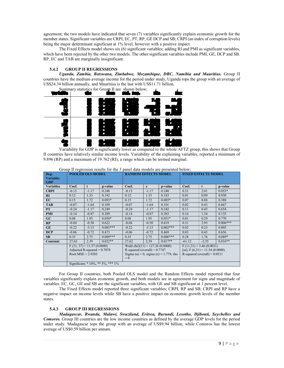agreement; the two models have indicated that seven (7) variables significantly explain economic growth for the member states. Significant variables are CRPI, EC, PT, RP, GE DCP and SB; CRPI (an index of corruption levels) being the major determinant significant at 1% level, however with a positive impact.

The Fixed Effects model shows six (6) significant variables; adding RI and PMI as significant variables, which have been rejected by the other two models. The other significant variables include PMI, GE, DCP and SB. RP, EC and TAB are marginally insignificant.

## 5.4.2 GROUP II REGRESSIONS

Uganda, Zambia, Botswana, Zimbabwe, Mozambique, DRC, Namibia and Mauritius. Group II countries have the medium average income for the period under study, Uganda tops the group with an average of US\$24.34 billion annually, and Mauritius is the last with US\$11.71 billion.



 Variability for GDP is significantly lower as compared to the whole AFTZ group, this shows that Group II countries have relatively similar income levels. Variability of the explaining variables, reported a minimum of 9.896 (RP) and a maximum of 19.762 (RI), a range which can be termed marginal.

| Dep.<br>Variable:<br><b>GDP</b> |                     | <b>POOLED OLS MODEL</b>                                      | <u>stowp in type conton results for the superior cally include the presence official</u> | <b>RANDOM EFFECTS MODEL</b>                                                 |         |                                       | <b>FIXED EFFECTS MODEL</b>                                  |                                 |            |  |
|---------------------------------|---------------------|--------------------------------------------------------------|------------------------------------------------------------------------------------------|-----------------------------------------------------------------------------|---------|---------------------------------------|-------------------------------------------------------------|---------------------------------|------------|--|
| <b>Variables</b>                | Coef.               | t                                                            | p-value                                                                                  | Coef.                                                                       | z       | p-value                               | Coef.                                                       | t                               | p-value    |  |
| <b>CRPI</b>                     | $-0.13$             | $-1.17$                                                      | 0.248                                                                                    | $-0.13$                                                                     | $-1.17$ | 0.240                                 | 0.31                                                        | 2.01                            | $0.053*$   |  |
| RI                              | 0.12                | 1.33                                                         | 0.192                                                                                    | 0.12                                                                        | 1.33    | 0.183                                 | 0.01                                                        | 0.09                            | 0.930      |  |
| EC                              | 0.15                | 1.72                                                         | $0.093*$                                                                                 | 0.15                                                                        | 1.72    | $0.085*$                              | 0.07                                                        | 0.88                            | 0.388      |  |
| <b>TAB</b>                      | $-0.07$             | $-1.64$                                                      | 0.109                                                                                    | $-0.07$                                                                     | $-1.64$ | 0.101                                 | 0.02                                                        | 0.43                            | 0.667      |  |
| <b>PT</b>                       | $-0.24$             | $-1.17$                                                      | 0.249                                                                                    | $-0.24$                                                                     | $-1.17$ | 0.242                                 | 0.11                                                        | 0.45                            | 0.654      |  |
| <b>PMI</b>                      | $-0.14$             | $-0.87$                                                      | 0.389                                                                                    | $-0.14$                                                                     | $-0.87$ | 0.383                                 | 0.16                                                        | 1.54                            | 0.135      |  |
| GC                              | 0.08                | 1.95                                                         | $0.058*$                                                                                 | 0.08                                                                        | 1.95    | $0.051*$                              | 0.01                                                        | 0.29                            | 0.770      |  |
| RP                              | $-0.04$             | $-0.50$                                                      | 0.622                                                                                    | $-0.04$                                                                     | $-0.50$ | 0.619                                 | 0.31                                                        | 2.93                            | $0.006***$ |  |
| <b>GE</b>                       | $-0.22$             | $-3.13$                                                      | $0.003***$                                                                               | $-0.22$                                                                     | $-3.13$ | $0.002***$                            | 0.02                                                        | 0.25                            | 0.803      |  |
| <b>DCP</b>                      | $-0.06$             | $-0.72$                                                      | 0.473                                                                                    | $-0.06$                                                                     | $-0.72$ | 0.469                                 | 0.03                                                        | 0.45                            | 0.656      |  |
| <b>SB</b>                       | 0.35                | 2.75                                                         | $0.009***$                                                                               | 0.35                                                                        | 2.75    | $0.006***$                            | 0.28                                                        | 1.76                            | $0.089*$   |  |
| Constant                        | 27.63               | 2.39                                                         | $0.022**$                                                                                | 27.62                                                                       | 2.39    | $0.017**$                             | $-61.12$                                                    | $-2.55$                         | $0.016**$  |  |
|                                 | Root MSE = $2.9283$ | $F(11, 37) = 11.57(0.0000)$<br>Adjusted R-squared $= 0.7078$ |                                                                                          | Wald chi2(11) = $127.26(0.0000)$<br>R-squared (overall) = $0.7747$<br>$= 0$ |         | Sigma (u) = 0, sigma (e) = 1.779, rho | $F(11,31) = 3.46(0.0031)$<br>R-squared (overall) = $0.0511$ | [ui]: $F(6,31) = 11.54(0.0000)$ |            |  |
|                                 |                     |                                                              | Significant; * 10%, ** 5%, *** 1%                                                        |                                                                             |         |                                       |                                                             |                                 |            |  |

|  | Group II regression results for the 3 panel data models are presented below: |  |  |  |  |  |
|--|------------------------------------------------------------------------------|--|--|--|--|--|
|  |                                                                              |  |  |  |  |  |

For Group II countries, both Pooled OLS model and the Random Effects model reported that four variables significantly explain economic growth, and both models are in agreement for signs and magnitude of variables. EC, GC, GE and SB are the significant variables, with GE and SB significant at 1 percent level.

The Fixed Effects model reported three significant variables; CRPI, RP and SB; CRPI and RP have a negative impact on income levels while SB have a positive impact on economic growth levels of the member states.

## 5.4.3 GROUP III REGRESSIONS

Madagascar, Rwanda, Malawi, Swaziland, Eritrea, Burundi, Lesotho, Djibouti, Seychelles and Comoros. Group III countries are the low income countries as defined by the average GDP levels for the period under study. Madagascar tops the group with an average of US\$9.94 billion, while Comoros has the lowest average of US\$0.59 billion per annum.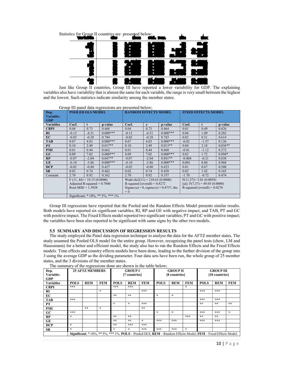

Just like Group II countries, Group III have reported a lower variability for GDP. The explaining variables also have variability that is almost the same for each variable, the range is very small between the highest and the lowest. Such statistics indicate similarity among the member states.

|                          |                     |                               | Group III panel data regressions are presented below; |                                 |         |                                           |                                |                                 |           |  |
|--------------------------|---------------------|-------------------------------|-------------------------------------------------------|---------------------------------|---------|-------------------------------------------|--------------------------------|---------------------------------|-----------|--|
| Dep.<br><b>Variable:</b> |                     | <b>POOLED OLS MODEL</b>       |                                                       | <b>RANDOM EFFECTS MODEL</b>     |         |                                           |                                | <b>FIXED EFFECTS MODEL</b>      |           |  |
| <b>GDP</b>               |                     |                               |                                                       |                                 |         |                                           |                                |                                 |           |  |
| <b>Variables</b>         | Coef.               | t                             | p-value                                               | Coef.                           | z       | p-value                                   | Coef.                          | $\mathbf{f}$                    | p-value   |  |
| <b>CRPI</b>              | 0.04                | 0.73                          | 0.468                                                 | 0.04                            | 0.73    | 0.464                                     | 0.01                           | 0.49                            | 0.626     |  |
| RI                       | $-0.15$             | $-4.51$                       | $0.000***$                                            | $-0.15$                         | $-4.51$ | $0.000***$                                | 0.04                           | 1.09                            | 0.282     |  |
| EC                       | $-0.02$             | $-0.28$                       | 0.784                                                 | $-0.02$                         | $-0.28$ | 0.783                                     | 0.02                           | 0.51                            | 0.614     |  |
| <b>TAB</b>               | 0.07                | 4.03                          | $0.000***$                                            | 0.07                            | 4.03    | $0.000***$                                | $-0.02$                        | $-1.57$                         | 0.126     |  |
| <b>PT</b>                | 0.10                | 2.49                          | $0.017**$                                             | 0.10                            | 2.49    | $0.013**$                                 |                                | 2.18                            | $0.036**$ |  |
| <b>PMI</b>               | 0.01                | 0.44                          | 0.662                                                 | 0.01                            | 0.44    | 0.660                                     | $-0.01$                        | $-1.12$                         | 0.272     |  |
| GC                       | 0.09                | 7.02                          | $0.000***$                                            | 0.09                            | 7.02    | $0.000***$                                | 0.02                           | 1.72                            | $0.094*$  |  |
| RP                       | $-0.07$             | $-2.04$                       | $0.047**$                                             | $-0.07$                         | $-2.04$ | $0.041**$                                 | $-0.004$                       | $-0.21$                         | 0.838     |  |
| <b>GE</b>                | $-0.10$             | $-3.86$                       | $0.000***$                                            | $-0.10$                         | $-3.86$ | $0.000***$                                | 0.001                          | 0.04                            | 0.968     |  |
| <b>DCP</b>               | $-0.02$             | $-0.80$                       | 0.427                                                 | $-0.02$                         | $-0.80$ | 0.423                                     | 0.01                           | 0.67                            | 0.508     |  |
| <b>SB</b>                | 0.02                | 0.74                          | 0.462                                                 | 0.02                            | 0.74    | 0.458                                     | 0.02                           | 1.42                            | 0.165     |  |
| Constant                 | 2.70                | 0.92                          | 0.362                                                 | 2.70                            | 0.92    | 0.357                                     | $-1.70$                        | $-0.72$                         | 0.474     |  |
|                          |                     | $F(11, 44) = 19.15(0.0000)$   |                                                       | Wald chi2(11) = 210.63 (0.0000) |         |                                           |                                | $F(11,37)=3.01(0.0059)$         |           |  |
|                          |                     | Adjusted R-squared $= 0.7840$ |                                                       | R-squared (overall) = $0.8272$  |         |                                           |                                | [ui]: $F(7,37) = 49.05(0.0000)$ |           |  |
|                          | Root $MSE = 1.3928$ |                               |                                                       |                                 |         | Sigma (u) = 0, sigma (e) = $0.4737$ , rho | R-squared (overall) = $0.0276$ |                                 |           |  |
|                          |                     |                               |                                                       | $= 0$                           |         |                                           |                                |                                 |           |  |
|                          |                     |                               | Significant; * 10%, ** 5%, *** 1%                     |                                 |         |                                           |                                |                                 |           |  |

Group III regressions have reported that the Pooled and the Random Effects Model presents similar results. Both models have reported six significant variables; RI, RP and GE with negative impact, and TAB, PT and GC with positive impact. The Fixed Effects model reported two significant variables; PT and GC with positive impact; the variables have been also reported to be significant with same signs by the other two models.

## 5.5 SUMMARY AND DISCUSSION OF REGRESSION RESULTS

The study employed the Panel data regression technique to analyse the data for the AFTZ member states. The study assumed the Pooled OLS model for the entire group. However, recognising the panel tests (chow, LM and Haussmann) for a better and efficient model, the study also has to run the Random Effects and the Fixed Effects models. Time effects and country effects models have been done, leading to the further division of the group into 3 using the average GDP as the dividing parameter. Four data sets have been run, the whole group of 25 member states, and the 3 divisions of the member states.

| Dep.<br>Variable:<br><b>GDP</b> | <b>25 AFTZ MEMBERS</b> |            |              | <b>GROUP I</b><br>[7 countries] |               |            |             | <b>GROUP II</b><br>[8 countries] |            | <b>GROUP III</b><br>[10 countries] |            |            |  |
|---------------------------------|------------------------|------------|--------------|---------------------------------|---------------|------------|-------------|----------------------------------|------------|------------------------------------|------------|------------|--|
| <b>Variables</b>                | <b>POLS</b>            | <b>REM</b> | <b>FEM</b>   | <b>POLS</b>                     | <b>REM</b>    | <b>FEM</b> | <b>POLS</b> | <b>REM</b>                       | <b>FEM</b> | <b>POLS</b>                        | <b>REM</b> | <b>FEM</b> |  |
| <b>CRPI</b>                     | ***                    |            |              | ***                             | ***           |            |             |                                  | $\star$    |                                    |            |            |  |
| RI                              |                        |            | $\star$      |                                 |               | ***        |             |                                  |            | ***                                | ***        |            |  |
| EC.                             |                        |            |              | **                              | $**$          |            | $\star$     | $\star$                          |            |                                    |            |            |  |
| <b>TAB</b>                      | ***                    |            |              |                                 |               |            |             |                                  |            | $* * *$                            | ***        |            |  |
| PТ                              |                        |            |              | $\star$                         | $\star$       | ***        |             |                                  |            | $-2.2$                             | **         | **         |  |
| <b>PMI</b>                      |                        | **         | $\mathbf{r}$ |                                 |               | $**$       |             |                                  |            |                                    |            |            |  |
| GC                              | ***                    |            |              |                                 |               |            | $\star$     | $\star$                          |            | ***                                | ***        | $\star$    |  |
| RP                              | $\star$                |            |              | $* *$                           | **            |            |             |                                  | ***        | **                                 | **         |            |  |
| GE                              |                        |            |              | $* *$                           | $\mathcal{N}$ | $\star$    | ***         | ***                              |            | ***                                | ***        |            |  |
| <b>DCP</b>                      | $\star$                |            |              | $* *$                           | ***           | ***        |             |                                  |            |                                    |            |            |  |
| <b>SB</b>                       | $\star$                |            |              | $\star$                         | $\star$       | ***        | ***         | ***                              | $\star$    |                                    |            |            |  |

The summary of the regressions done are shown in the table below;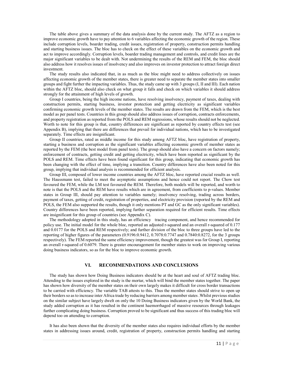The table above gives a summary of the data analysis done by the current study. The AFTZ as a region to improve economic growth have to pay attention to 6 variables affecting the economic growth of the region. These include corruption levels, boarder trading, credit issues, registration of property, construction permits handling and starting business issues. The bloc has to check on the effect of these variables on the economic growth and act to improve accordingly. Corruption levels, boarder trading management and controls, and credit lines are the major significant variables to be dealt with. Not undermining the results of the REM and FEM, the bloc should also address how it resolves issues of insolvency and also improves on investor protection to attract foreign direct investment.

The study results also indicated that, in as much as the bloc might need to address collectively on issues affecting economic growth of the member states, there is greater need to separate the member states into smaller groups and fight further the impacting variables. Thus, the study came up with 3 groups (I, II and III). Each nation within the AFTZ bloc, should also check on what group it falls and check on which variables it should address strongly for the attainment of high levels of growth.

Group I countries, being the high income nations, have resolving insolvency, payment of taxes, dealing with construction permits, starting business, investor protection and getting electricity as significant variables confirming economic growth levels of the member states. The results are drawn from the FEM, which is the best model as per panel tests. Countries in this group should also address issues of corruption, contracts enforcements, and property registration as reported from the POLS and REM regressions, whose results should not be neglected. Worth to note for this group is that, country differences are significant as reported by country effects test (see Appendix B), implying that there are differences that prevail for individual nations, which has to be investigated separately. Time effects are insignificant.

Group II countries, rated as middle income for this study among AFTZ bloc, have registration of property, starting a business and corruption as the significant variables affecting economic growth of member states as reported by the FEM (the best model from panel tests). The group should also have a concern on factors namely; enforcement of contracts, getting credit and getting electricity, which have been reported as significant by the POLS and REM. Time effects have been found significant for this group, indicating that economic growth has been changing with the effect of time, implying a transition. Country differences have also been noted for this group, implying that individual analysis is recommended for efficient analysis.

Group III, composed of lower income countries among the AFTZ bloc, have reported crucial results as well. The Haussmann test, failed to meet the asymptotic assumptions and hence could not report. The Chow test favoured the FEM, while the LM test favoured the REM. Therefore, both models will be reported, and worth to note is that the POLS and the REM have results which are in agreement, from coefficients to p-values. Member states in Group III, should pay attention to variables namely; insolvency resolving, trading across borders, payment of taxes, getting of credit, registration of properties, and electricity provision (reported by the REM and POLS, the FEM also supported the results, though it only mentions PT and GC as the only significant variables). Country differences have been reported, implying further separation required for efficient results. Time effects are insignificant for this group of countries (see Appendix C).

The methodology adopted in this study, has an efficiency tracing component, and hence recommended for policy use. The initial model for the whole bloc, reported an adjusted r-squared and an overall r-squared of 0.177 and 0.0177 for the POLS and REM respectively; and further division of the bloc to three groups have led to the reporting of higher figures of the parameters (0.9196:0.9412, 0.7078:0.7747 and 0.7840:0.8272, for the 3 groups respectively). The FEM reported the same efficiency improvement, though the greatest was for Group I, reporting an overall r-squared of 0.6079. There is greater encouragement for member states to work on improving various doing business indicators, so as for the bloc to improve economic growth.

# VI. RECOMMENDATIONS AND CONCLUSIONS

The study has shown how Doing Business indicators should be at the heart and soul of AFTZ trading bloc. Attending to the issues explored in the study is the mortar, which will bind the member states together. The paper has shown how diversity of the member states on their own largely makes it difficult for cross border transactions to be carried with efficiency. The variable TAB attests to this. Thus the member states should strive to open up their borders so as to increase inter Africa trade by reducing barriers among member states .Whilst previous studies on the similar subject have largely dwelt on only the 10 Doing Business indicators given by the World Bank, the study added corruption as it has resulted in the continent haemorrhaged of massive resources through leakages further complicating doing business. Corruption proved to be significant and thus success of this trading bloc will depend too on attending to corruption.

It has also been shown that the diversity of the member states also requires individual efforts by the member states in addressing issues around, credit, registration of property, construction permits handling and starting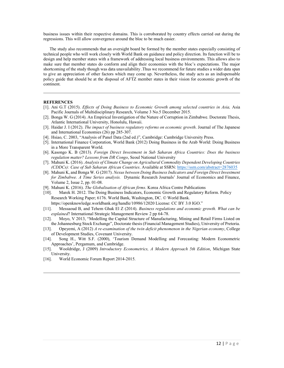business issues within their respective domains. This is corroborated by country effects carried out during the regressions. This will allow convergence around the bloc to be much easier.

The study also recommends that an oversight board be formed by the member states especially consisting of technical people who will work closely with World Bank on guidance and policy direction. Its function will be to design and help member states with a framework of addressing local business environments. This allows also to make sure that member states do conform and align their economies with the bloc's expectations. The major shortcoming of the study though was data unavailability .Thus we recommend for future studies a wider data span to give an appreciation of other factors which may come up. Nevertheless, the study acts as an indispensable policy guide that should be at the disposal of AFTZ member states in their vision for economic growth of the continent.

## **REFERENCES**

- [1]. Ani G.T (2015). Effects of Doing Business to Economic Growth among selected countries in Asia, Asia Pacific Journals of Multidisciplinary Research, Volume 3 No.5 December 2015.
- [2]. Bonga W. G (2014). An Empirical Investigation of the Nature of Corruption in Zimbabwe. Doctorate Thesis, Atlantic International University, Honolulu, Hawaii.
- [3]. Haidar J. I (2012). The impact of business regulatory reforms on economic growth. Journal of The Japanese and International Economies (26) pp 285-307.
- [4]. Hsiao, C. 2003, "Analysis of Panel Data (2nd ed.)", Cambridge: Cambridge University Press.
- [5]. International Finance Corporation, World Bank (2012) Doing Business in the Arab World: Doing Business in a More Transparent World.
- [6]. Kasongo K. B (2013). Foreign Direct Investment in Sub Saharan Africa Countries: Does the business regulation matter? Lessons from DR Congo, Seoul National University
- [7]. Mahuni K. (2016). Analysis of Climate Change on Agricultural Commodity Dependent Developing Countries (CDDCs): Case of Sub Saharan African Countries. Available at SSRN: https://ssrn.com/abstract=2876035
- [8]. Mahuni K, and Bonga W. G (2017). Nexus between Doing Business Indicators and Foreign Direct Investment for Zimbabwe. A Time Series analysis. Dynamic Research Journals' Journal of Economics and Finance, Volume 2, Issue 2, pp. 01-08.
- [9]. Mahuni K. (2016). The Globalisation of African firms. Korea Africa Centre Publications
- [10]. Marek H. 2012. The Doing Business Indicators, Economic Growth and Regulatory Reform. Policy Research Working Paper; 6176. World Bank, Washington, DC. © World Bank.

https://openknowledge.worldbank.org/handle/10986/12020 License: CC BY 3.0 IGO."

- [11]. Messaoud B, and Tehem Ghak El Z (2014). Business regulations and economic growth. What can be explained? International Strategic Management Review 2 pp 64-78.
- [12]. Moyo, V 2013, "Modelling the Capital Structure of Manufacturing, Mining and Retail Firms Listed on the Johannesburg Stock Exchange", Doctorate thesis (Financial Management Studies), University of Pretoria.
- [13]. Opeyemi, A (2012) A re-examination of the twin deficit phenomenon in the Nigerian economy, College of Development Studies, Covenant University.
- [14]. Song H., Witt S.F. (2000), 'Tourism Demand Modelling and Forecasting: Modern Econometric Approaches', Pergamum, and Cambridge.
- [15]. Wooldridge, J (2009) Introductory Econometrics, A Modern Approach 5th Edition, Michigan State University.
- [16]. World Economic Forum Report 2014-2015.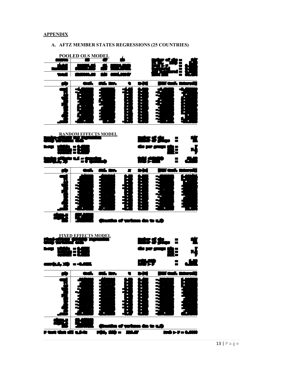**APPENDIX** 



# A. AFTZ MEMBER STATES REGRESSIONS (25 COUNTRIES)

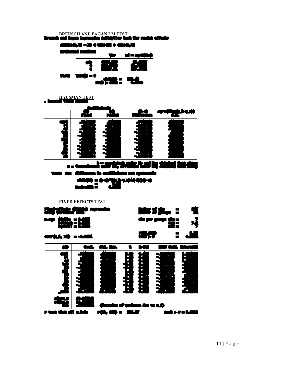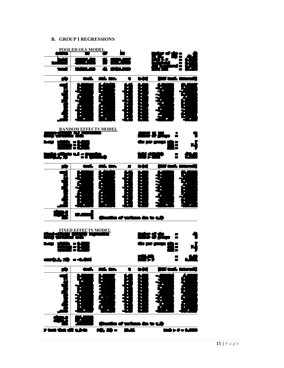# B. GROUP I REGRESSIONS

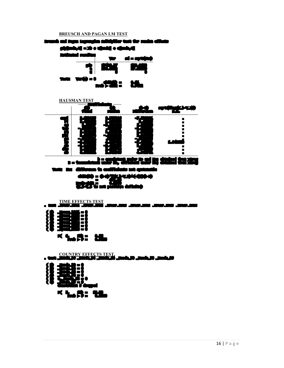## BREUSCH AND PAGAN LM TEST





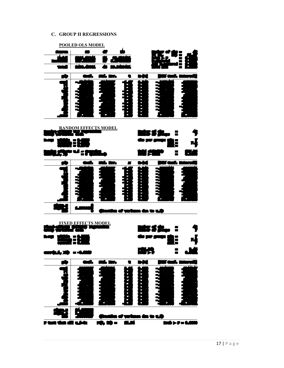# C. GROUP II REGRESSIONS

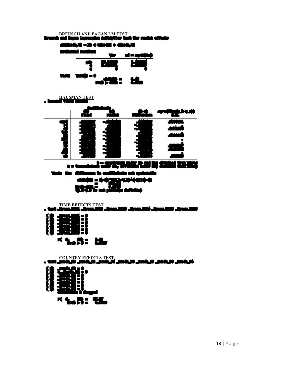![](_page_17_Figure_1.jpeg)

![](_page_17_Figure_2.jpeg)

**HAUSMAN TEST** 

TIME EFFECTS TEST . test \_Iyear\_2011 \_Iyear\_2012 \_Iyear\_2013 \_Iyear\_2014 \_Iyear\_2015 \_Iyear\_2016

![](_page_17_Figure_4.jpeg)

![](_page_17_Figure_5.jpeg)

![](_page_17_Figure_6.jpeg)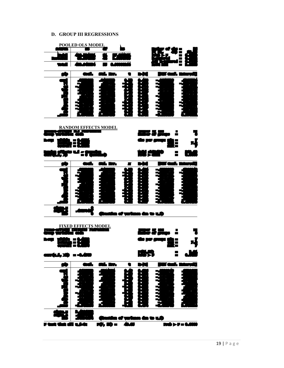## D. GROUP III REGRESSIONS

![](_page_18_Figure_1.jpeg)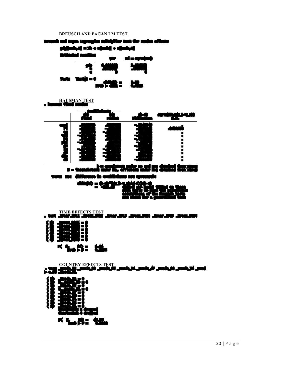![](_page_19_Figure_1.jpeg)

![](_page_19_Figure_2.jpeg)

i Rajin Lagrangian multiplier test for random effects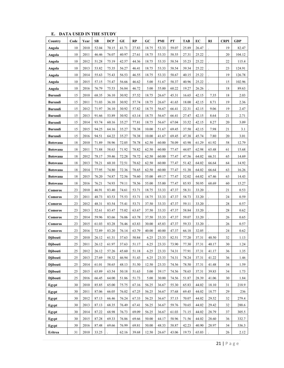| Country          | Code | Year | SB    | <b>DCP</b> | GE    | RP    | GC    | PMI   | PT    | <b>TAB</b> | EС    | RI    | <b>CRPI</b> | <b>GDP</b> |
|------------------|------|------|-------|------------|-------|-------|-------|-------|-------|------------|-------|-------|-------------|------------|
| Angola           | 10   | 2010 | 52.04 | 70.15      | 41.71 | 27.83 | 18.75 | 53.33 | 59.07 | 25.89      | 26.47 |       | 19          | 82.47      |
| Angola           | 10   | 2011 | 46.46 | 76.07      | 40.97 | 27.61 | 18.75 | 53.33 | 58.55 | 27.31      | 25.22 |       | 20          | 104.12     |
| Angola           | 10   | 2012 | 51.28 | 75.19      | 42.57 | 44.36 | 18.75 | 53.33 | 58.54 | 35.23      | 25.22 |       | 22          | 115.4      |
| Angola           | 10   | 2013 | 53.82 | 75.35      | 56.27 | 46.41 | 18.75 | 53.33 | 58.54 | 39.34      | 25.22 |       | 23          | 124.91     |
| Angola           | 10   | 2014 | 55.63 | 75.43      | 56.53 | 46.55 | 18.75 | 53.33 | 58.67 | 40.15      | 25.22 |       | 19          | 126.78     |
| Angola           | 10   | 2015 | 57.15 | 75.47      | 56.66 | 46.62 | 5.00  | 51.67 | 58.37 | 40.96      | 25.22 |       | 15          | 102.96     |
| Angola           | 10   | 2016 | 76.79 | 75.53      | 56.84 | 46.72 | 5.00  | 55.00 | 60.22 | 19.27      | 26.26 |       | 18          | 89.63      |
| <b>Burundi</b>   | 15   | 2010 | 68.35 | 36.10      | 30.92 | 57.52 | 18.75 | 26.67 | 45.31 | 16.65      | 42.15 | 7.35  | 18          | 2.03       |
| <b>Burundi</b>   | 15   | 2011 | 71.03 | 36.10      | 30.92 | 57.74 | 18.75 | 26.67 | 41.65 | 18.00      | 42.15 | 8.71  | 19          | 2.36       |
| <b>Burundi</b>   | 15   | 2012 | 71.97 | 36.10      | 30.92 | 57.82 | 18.75 | 56.67 | 66.41 | 22.31      | 42.15 | 9.06  | 19          | 2.47       |
| <b>Burundi</b>   | 15   | 2013 | 91.66 | 53.89      | 30.92 | 63.14 | 18.75 | 56.67 | 66.41 | 27.47      | 42.15 | 8.64  | 21          | 2.71       |
| <b>Burundi</b>   | 15   | 2014 | 93.74 | 60.16      | 35.27 | 77.81 | 18.75 | 56.67 | 67.04 | 33.52      | 42.15 | 8.27  | 20          | 3.09       |
| <b>Burundi</b>   | 15   | 2015 | 94.25 | 64.16      | 35.27 | 78.38 | 10.00 | 51.67 | 69.45 | 37.50      | 42.15 | 7.98  | 21          | 3.1        |
| <b>Burundi</b>   | 15   | 2016 | 94.51 | 64.22      | 35.27 | 78.38 | 10.00 | 41.67 | 69.45 | 47.38      | 45.74 | 7.80  | 20          | 3.01       |
| <b>Botswana</b>  | 18   | 2010 | 71.89 | 58.96      | 72.05 | 78.78 | 62.50 | 60.00 | 78.09 | 43.98      | 61.29 | 61.92 | 58          | 12.79      |
| <b>Botswana</b>  | 18   | 2011 | 71.88 | 58.63      | 71.92 | 78.82 | 62.50 | 60.00 | 77.47 | 44.07      | 62.98 | 65.48 | 61          | 15.68      |
| <b>Botswana</b>  | 18   | 2012 | 78.17 | 59.46      | 72.28 | 78.72 | 62.50 | 60.00 | 77.47 | 47.56      | 64.02 | 66.31 | 65          | 14.69      |
| <b>Botswana</b>  | 18   | 2013 | 78.21 | 60.10      | 72.51 | 78.62 | 62.50 | 60.00 | 77.47 | 51.42      | 64.02 | 66.64 | 64          | 14.92      |
| <b>Botswana</b>  | 18   | 2014 | 77.95 | 74.80      | 72.36 | 78.65 | 62.50 | 60.00 | 77.47 | 51.38      | 64.02 | 66.64 | 63          | 16.26      |
| <b>Botswana</b>  | 18   | 2015 | 76.20 | 74.87      | 72.56 | 78.60 | 55.00 | 49.17 | 77.47 | 52.02      | 64.02 | 67.46 | 63          | 14.43      |
| <b>Botswana</b>  | 18   | 2016 | 76.21 | 74.93      | 79.11 | 78.56 | 55.00 | 55.00 | 77.47 | 85.93      | 50.95 | 68.69 | 60          | 15.27      |
| Comoros          | 23   | 2010 | 46.91 | 83.40      | 74.61 | 53.71 | 18.75 | 33.33 | 47.37 | 58.31      | 33.20 |       | 21          | 0.53       |
| Comoros          | 23   | 2011 | 48.73 | 83.53      | 75.53 | 53.71 | 18.75 | 33.33 | 47.37 | 58.73      | 33.20 |       | 24          | 0.59       |
| Comoros          | 23   | 2012 | 48.31 | 83.54      | 75.41 | 53.71 | 37.50 | 33.33 | 47.37 | 59.11      | 33.20 |       | 28          | 0.57       |
| Comoros          | 23   | 2013 | 52.61 | 83.47      | 75.02 | 63.67 | 37.50 | 33.33 | 47.37 | 58.84      | 33.20 |       | 28          | 0.62       |
| Comoros          | 23   | 2014 | 59.96 | 83.66      | 76.06 | 63.78 | 37.50 | 33.33 | 47.37 | 59.07      | 33.20 |       | 26          | 0.65       |
| Comoros          | 23   | 2015 | 61.03 | 83.28      | 76.46 | 63.83 | 30.00 | 45.83 | 47.37 | 59.33      | 33.20 |       | 26          | 0.57       |
| Comoros          | 23   | 2016 | 72.89 | 83.20      | 76.14 | 63.79 | 40.00 | 40.00 | 47.37 | 66.18      | 32.05 |       | 24          | 0.62       |
| <b>D</b> jibouti | 25   | 2010 | 26.12 | 61.31      | 37.63 | 50.84 | 6.25  | 23.33 | 82.51 | 77.20      | 37.31 | 40.50 | 32          | 1.13       |
| <b>D</b> ibouti  | 25   | 2011 | 26.12 | 61.97      | 37.63 | 51.17 | 6.25  | 23.33 | 73.90 | 77.30      | 37.31 | 40.17 | 30          | 1.24       |
| <b>Djibouti</b>  | 25   | 2012 | 26.12 | 57.26      | 45.60 | 51.18 | 6.25  | 23.33 | 74.31 | 77.91      | 37.31 | 41.17 | 36          | 1.35       |
| <b>Diibouti</b>  | 25   | 2013 | 27.69 | 58.32      | 46.94 | 51.43 | 6.25  | 23.33 | 74.31 | 78.24      | 37.31 | 41.22 | 36          | 1.46       |
| <b>Diibouti</b>  | 25   | 2014 | 61.01 | 58.65      | 48.13 | 51.50 | 12.50 | 23.33 | 74.56 | 78.50      | 37.31 | 41.48 | 34          | 1.59       |
| <b>Djibouti</b>  | 25   | 2015 | 65.89 | 63.54      | 50.18 | 51.63 | 5.00  | 39.17 | 74.56 | 78.65      | 37.31 | 39.83 | 34          | 1.73       |
| Djibouti         | 25   | 2016 | 66.45 | 64.00      | 51.86 | 51.73 | 5.00  | 30.00 | 74.56 | 51.87      | 28.39 | 41.06 | 30          | 1.84       |
| Egypt            | 30   | 2010 | 85.85 | 65.00      | 75.75 | 67.16 | 56.25 | 36.67 | 55.30 | 65.83      | 44.02 | 18.10 | 31          | 218.9      |
| Egypt            | 30   | 2011 | 87.06 | 66.05      | 76.02 | 67.25 | 56.25 | 36.67 | 57.68 | 69.45      | 44.02 | 18.77 | 29          | 236        |
| Egypt            | 30   | 2012 | 87.13 | 66.46      | 76.24 | 67.33 | 56.25 | 36.67 | 57.15 | 70.07      | 44.02 | 29.52 | 32          | 279.4      |
| Egypt            | 30   | 2013 | 87.13 | 68.35      | 76.49 | 67.41 | 56.25 | 36.67 | 59.76 | 70.65      | 44.02 | 29.42 | 32          | 288.6      |
| Egypt            | 30   | 2014 | 87.22 | 68.98      | 76.73 | 69.09 | 56.25 | 36.67 | 61.03 | 71.15      | 44.02 | 28.79 | 37          | 305.5      |
| Egypt            | 30   | 2015 | 87.28 | 69.33      | 76.86 | 69.66 | 50.00 | 44.17 | 58.96 | 71.56      | 44.02 | 28.60 | 36          | 332.7      |
| Egypt            | 30   | 2016 | 87.48 | 69.66      | 76.99 | 69.81 | 50.00 | 48.33 | 58.87 | 42.23      | 40.90 | 28.97 | 34          | 336.3      |
| Eritrea          | 31   | 2010 | 33.25 |            | 62.16 | 39.68 | 12.50 | 26.67 | 43.06 | 19.73      | 65.03 |       | 26          | 2.12       |

E. DATA USED IN THE STUDY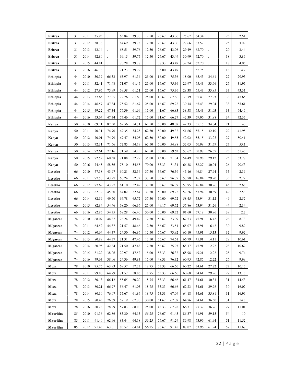| Eritrea          | 31     | 2011 | 35.95 |       | 65.84 | 39.70 | 12.50 | 26.67 | 43.06 | 25.67 | 64.34 |       | 25     | 2.61             |
|------------------|--------|------|-------|-------|-------|-------|-------|-------|-------|-------|-------|-------|--------|------------------|
| Eritrea          | 31     | 2012 | 38.36 |       | 64.69 | 39.73 | 12.50 | 26.67 | 43.06 | 27.66 | 63.52 |       | 25     | 3.09             |
| Eritrea          | 31     | 2013 | 42.14 |       | 68.51 | 39.76 | 12.50 | 26.67 | 43.06 | 29.49 | 62.70 |       | 20     | 3.44             |
| Eritrea          | 31     | 2014 | 42.80 |       | 69.15 | 39.77 | 12.50 | 26.67 | 43.49 | 30.99 | 62.70 |       | 18     | 3.86             |
| Eritrea          | 31     | 2015 | 44.81 |       | 70.28 | 39.78 |       | 38.33 | 43.49 | 32.24 | 62.70 |       | 18     | 4.05             |
| Eritrea          | 31     | 2016 | 46.16 |       | 71.23 | 39.79 |       | 35.00 | 43.49 |       | 52.75 |       | 18     | 4.2              |
| Ethiopia         | 44     | 2010 | 30.39 | 66.33 | 65.97 | 61.34 | 25.00 | 16.67 | 75.36 | 18.00 | 65.43 | 34.61 | 27     | 29.93            |
| Ethiopia         | 44     | 2011 | 32.41 | 71.48 | 71.07 | 61.47 | 25.00 | 16.67 | 75.36 | 26.97 | 65.43 | 33.66 | 27     | 31.95            |
| Ethiopia         | 44     | 2012 | 27.95 | 75.99 | 69.58 | 61.51 | 25.00 | 16.67 | 75.36 | 28.38 | 65.43 | 33.85 | 33     | 43.31            |
| Ethiopia         | 44     | 2013 | 37.65 | 77.85 | 72.76 | 61.60 | 25.00 | 16.67 | 67.86 | 33.79 | 65.43 | 27.93 | 33     | 47.65            |
| Ethiopia         | 44     | 2014 | 46.57 | 47.34 | 75.52 | 61.67 | 25.00 | 16.67 | 69.22 | 39.14 | 65.43 | 29.04 | 33     | 55.61            |
| Ethiopia         | 44     | 2015 | 49.22 | 47.34 | 76.39 | 61.69 | 15.00 | 41.67 | 66.83 | 38.58 | 65.43 | 31.03 | 33     | 64.46            |
| Ethiopia         | 44     | 2016 | 53.64 | 47.34 | 77.46 | 61.72 | 15.00 | 31.67 | 66.27 | 42.39 | 59.06 | 31.88 | 34     | 72.37            |
| Kenya            | 50     | 2010 | 69.11 | 82.50 | 69.56 | 54.31 | 62.50 | 50.00 | 48.09 | 49.33 | 55.15 | 34.04 | 21     | 40               |
| Kenya            | 50     | 2011 | 70.31 | 74.70 | 69.35 | 54.25 | 62.50 | 50.00 | 49.32 | 51.66 | 55.15 | 32.10 | 22     | 41.95            |
| Kenya            | 50     | 2012 | 70.01 | 74.79 | 69.47 | 54.08 | 62.50 | 50.00 | 49.55 | 52.02 | 55.15 | 33.27 | 27     | 50.41            |
| Kenya            | 50     | 2013 | 72.31 | 71.66 | 72.85 | 54.19 | 62.50 | 50.00 | 54.88 | 52.05 | 50.98 | 31.79 | 27     | 55.1             |
| Kenya            | 50     | 2014 | 72.61 | 72.16 | 71.59 | 54.25 | 62.50 | 50.00 | 59.62 | 53.67 | 50.98 | 26.57 | 25     | 61.45            |
| Kenya            | 50     | 2015 | 72.52 | 60.58 | 71.88 | 52.29 | 35.00 | 45.83 | 71.34 | 54.49 | 50.98 | 29.12 | 25     | 63.77            |
| Kenya            | 50     | 2016 | 74.45 | 58.56 | 78.10 | 54.58 | 70.00 | 53.33 | 71.34 | 66.38 | 58.27 | 30.04 | 26     | 70.53            |
| Lesotho          | 66     | 2010 | 77.38 | 43.97 | 60.21 | 52.34 | 37.50 | 36.67 | 76.39 | 45.16 | 46.84 | 27.94 | 35     | 2.39             |
| Lesotho          | 66     | 2011 | 77.50 | 43.97 | 60.24 | 52.32 | 37.50 | 36.67 | 76.37 | 53.78 | 46.84 | 29.90 | 35     | 2.79             |
| Lesotho          | 66     | 2012 | 77.69 | 43.97 | 61.10 | 52.49 | 37.50 | 36.67 | 76.39 | 53.95 | 46.84 | 30.76 | 45     | 2.68             |
| Lesotho          | 66     | 2013 | 82.39 | 45.80 | 64.02 | 52.64 | 37.50 | 50.00 | 69.72 | 57.26 | 53.94 | 30.89 | 49     | 2.53             |
| Lesotho          | 66     | 2014 | 82.59 | 49.70 | 66.78 | 65.72 | 37.50 | 50.00 | 69.72 | 58.45 | 53.94 | 31.12 | 49     | 2.52             |
| Lesotho          | 66     | 2015 | 82.84 | 54.46 | 68.20 | 66.36 | 25.00 | 49.17 | 69.72 | 57.86 | 53.94 | 31.26 | 44     | 2.34             |
| Lesotho          | 66     | 2016 | 82.85 | 54.75 | 68.28 | 66.40 | 50.00 | 50.00 | 69.72 | 91.60 | 57.18 | 30.96 | 39     | $2.2\phantom{0}$ |
| M/gascar         | 74     | 2010 | 68.07 | 44.37 | 26.24 | 49.49 | 12.50 | 56.67 | 73.09 | 62.53 | 45.91 | 16.42 | 26     | 8.73             |
| M/gascar         | 74     | 2011 | 64.52 | 44.37 | 21.57 | 48.46 | 12.50 | 56.67 | 73.51 | 65.07 | 45.91 | 16.42 | 30     | 9.89             |
| M/gascar         | 74     | 2012 | 80.64 | 44.37 | 24.30 | 46.86 | 12.50 | 56.67 | 73.92 | 66.10 | 45.91 | 15.13 | 32     | 9.92             |
| M/gascar         | $74\,$ | 2013 | 80.89 | 44.37 | 21.31 | 47.46 | 12.50 | 56.67 | 74.61 | 66.79 | 45.91 | 14.11 | $28\,$ | 10.61            |
| M/gascar         | 74     | 2014 | 80.95 | 42.84 | 21.50 | 47.43 | 12.50 | 56.67 | 75.93 | 68.17 | 45.91 | 12.22 | 28     | 10.67            |
| M/gascar         | 74     | 2015 | 81.22 | 38.06 | 22.97 | 47.52 | 5.00  | 53.33 | 76.32 | 68.98 | 49.21 | 12.22 | 28     | 9.74             |
| M/gascar         | 74     | 2016 | 79.63 | 38.06 | 24.36 | 49.83 | 15.00 | 48.33 | 76.32 | 60.95 | 42.85 | 12.22 | 26     | 9.99             |
| Moza             | 78     | 2010 | 75.76 | 63.93 | 69.57 | 57.23 | 18.75 | 53.33 | 66.66 | 60.22 | 34.61 | 27.22 | 27     | 10.15            |
| Moza             | 78     | 2011 | 79.80 | 64.79 | 71.57 | 58.86 | 18.75 | 53.33 | 66.66 | 60.68 | 34.61 | 29.26 | 27     | 13.13            |
| Moza             | 78     | 2012 | 80.13 | 66.12 | 55.65 | 60.20 | 18.75 | 53.33 | 66.66 | 61.47 | 34.61 | 30.33 | 31     | 14.53            |
| Moza             | 78     | 2013 | 80.21 | 66.97 | 56.47 | 61.05 | 18.75 | 53.33 | 66.66 | 62.23 | 34.61 | 29.98 | 30     | 16.02            |
| Moza             | 78     | 2014 | 80.30 | 76.07 | 55.67 | 61.86 | 18.75 | 53.33 | 67.09 | 64.18 | 34.61 | 35.81 | 31     | 16.96            |
| Moza             | 78     | 2015 | 80.43 | 76.69 | 57.19 | 67.70 | 30.00 | 51.67 | 67.09 | 64.76 | 34.61 | 36.50 | 31     | 14.8             |
| Moza             | 78     | 2016 | 80.23 | 78.99 | 57.83 | 68.10 | 25.00 | 43.33 | 67.78 | 66.31 | 27.32 | 36.76 | 27     | 11.01            |
| <b>Mauritius</b> | 85     | 2010 | 91.36 | 62.86 | 83.30 | 64.15 | 56.25 | 76.67 | 91.45 | 86.37 | 61.91 | 59.15 | 54     | 10               |
| <b>Mauritius</b> | 85     | 2011 | 91.40 | 62.96 | 83.44 | 64.18 | 56.25 | 76.67 | 91.29 | 86.98 | 63.96 | 61.94 | 51     | 11.52            |
| <b>Mauritius</b> | 85     | 2012 | 91.43 | 63.01 | 83.52 | 64.84 | 56.25 | 76.67 | 91.45 | 87.07 | 63.96 | 61.94 | 57     | 11.67            |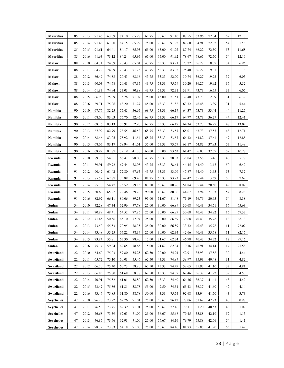| <b>Mauritius</b>  | 85 | 2013 | 91.46 | 63.09 | 84.10 | 65.98 | 68.75 | 76.67 | 91.10 | 87.55 | 63.96 | 72.04 | 52 | 12.13 |
|-------------------|----|------|-------|-------|-------|-------|-------|-------|-------|-------|-------|-------|----|-------|
| <b>Mauritius</b>  | 85 | 2014 | 91.43 | 61.80 | 84.15 | 65.99 | 75.00 | 76.67 | 91.92 | 87.60 | 64.91 | 72.32 | 54 | 12.8  |
| <b>Mauritius</b>  | 85 | 2015 | 91.61 | 64.41 | 84.17 | 65.95 | 65.00 | 65.00 | 91.92 | 87.74 | 66.22 | 72.50 | 53 | 11.68 |
| <b>Mauritius</b>  | 85 | 2016 | 91.63 | 73.12 | 84.24 | 65.97 | 65.00 | 65.00 | 91.92 | 78.67 | 68.65 | 72.50 | 54 | 12.16 |
| Malawi            | 88 | 2010 | 64.34 | 74.69 | 20.43 | 65.04 | 43.75 | 53.33 | 83.21 | 23.22 | 36.27 | 18.87 | 34 | 6.96  |
| Malawi            | 88 | 2011 | 64.29 | 74.69 | 20.43 | 71.25 | 43.75 | 53.33 | 83.32 | 25.40 | 36.27 | 19.31 | 30 | 8     |
| Malawi            | 88 | 2012 | 66.49 | 74.88 | 20.43 | 68.16 | 43.75 | 53.33 | 82.00 | 30.74 | 36.27 | 19.92 | 37 | 6.03  |
| Malawi            | 88 | 2013 | 60.03 | 74.78 | 20.43 | 67.35 | 43.75 | 53.33 | 75.59 | 30.20 | 36.27 | 19.92 | 37 | 5.52  |
| Malawi            | 88 | 2014 | 61.83 | 74.94 | 23.03 | 70.88 | 43.75 | 53.33 | 72.31 | 33.91 | 43.73 | 16.75 | 33 | 6.05  |
| Malawi            | 88 | 2015 | 66.96 | 75.09 | 35.78 | 71.07 | 25.00 | 45.00 | 71.51 | 37.40 | 43.73 | 12.99 | 31 | 6.37  |
| Malawi            | 88 | 2016 | 69.71 | 75.26 | 48.20 | 71.27 | 45.00 | 43.33 | 71.82 | 63.32 | 46.48 | 13.39 | 31 | 5.44  |
| Namibia           | 90 | 2010 | 67.76 | 82.25 | 75.45 | 56.65 | 68.75 | 53.33 | 66.17 | 64.37 | 63.73 | 33.44 | 44 | 11.27 |
| Namibia           | 90 | 2011 | 68.00 | 83.03 | 75.70 | 52.45 | 68.75 | 53.33 | 66.17 | 64.77 | 63.73 | 36.29 | 44 | 12.41 |
| Namibia           | 90 | 2012 | 68.16 | 83.13 | 75.91 | 52.90 | 68.75 | 53.33 | 66.17 | 64.34 | 63.73 | 36.97 | 48 | 13.02 |
| Namibia           | 90 | 2013 | 67.99 | 82.79 | 78.55 | 46.52 | 68.75 | 53.33 | 73.57 | 65.01 | 63.73 | 37.55 | 48 | 12.71 |
| Namibia           | 90 | 2014 | 68.46 | 83.05 | 78.92 | 41.54 | 68.75 | 53.33 | 73.57 | 66.12 | 64.82 | 37.61 | 49 | 12.85 |
| Namibia           | 90 | 2015 | 68.67 | 83.17 | 78.94 | 41.61 | 55.00 | 53.33 | 73.57 | 63.17 | 64.82 | 37.93 | 53 | 11.49 |
| Namibia           | 90 | 2016 | 68.92 | 81.87 | 79.19 | 41.70 | 60.00 | 55.00 | 73.63 | 61.47 | 56.03 | 37.57 | 52 | 10.27 |
| Rwanda            | 91 | 2010 | 89.76 | 54.31 | 66.47 | 78.06 | 43.75 | 63.33 | 78.03 | 38.04 | 63.58 | 3.46  | 40 | 5.77  |
| Rwanda            | 91 | 2011 | 89.91 | 59.72 | 69.44 | 78.98 | 43.75 | 63.33 | 78.64 | 44.45 | 64.40 | 3.47  | 50 | 6.49  |
| Rwanda            | 91 | 2012 | 90.42 | 61.42 | 72.80 | 67.65 | 43.75 | 63.33 | 83.09 | 47.87 | 64.40 | 3.45  | 53 | 7.32  |
| Rwanda            | 91 | 2013 | 85.52 | 62.87 | 75.88 | 69.45 | 81.25 | 63.33 | 83.93 | 49.42 | 65.44 | 3.39  | 53 | 7.62  |
| Rwanda            | 91 | 2014 | 85.70 | 54.47 | 75.59 | 89.15 | 87.50 | 66.67 | 80.76 | 51.84 | 65.44 | 20.50 | 49 | 8.02  |
| Rwanda            | 91 | 2015 | 80.60 | 65.27 | 79.48 | 89.20 | 90.00 | 46.67 | 80.96 | 44.67 | 63.94 | 21.03 | 54 | 8.26  |
| Rwanda            | 91 | 2016 | 82.92 | 66.11 | 80.06 | 89.23 | 95.00 | 51.67 | 81.48 | 71.19 | 56.76 | 20.63 | 54 | 8.38  |
| Sudan             | 34 | 2010 | 72.28 | 47.34 | 62.96 | 77.78 | 25.00 | 30.00 | 66.89 | 30.68 | 40.43 | 34.51 | 16 | 65.63 |
| Sudan             | 34 | 2011 | 70.89 | 48.41 | 64.52 | 77.86 | 25.00 | 30.00 | 66.89 | 30.68 | 40.43 | 34.82 | 16 | 67.33 |
| Sudan             | 34 | 2012 | 71.45 | 50.56 | 65.10 | 77.94 | 25.00 | 30.00 | 66.89 | 30.68 | 40.43 | 35.78 | 13 | 68.13 |
| Sudan             | 34 | 2013 | 73.52 | 55.53 | 70.95 | 78.35 | 25.00 | 30.00 | 66.89 | 33.32 | 40.43 | 35.78 | 11 | 72.07 |
| Sudan             | 34 | 2014 | 73.48 | 55.25 | 67.22 | 78.34 | 25.00 | 30.00 | 62.34 | 42.66 | 40.43 | 35.78 | 11 | 82.15 |
| Sudan             | 34 | 2015 | 73.84 | 55.81 | 63.30 | 78.40 | 15.00 | 31.67 | 62.34 | 46.98 | 40.43 | 34.32 | 12 | 97.16 |
| Sudan             | 34 | 2016 | 75.14 | 59.04 | 69.65 | 78.65 | 15.00 | 21.67 | 62.34 | 19.16 | 46.91 | 34.14 | 14 | 95.58 |
| Swaziland         | 22 | 2010 | 64.60 | 75.03 | 59.80 | 55.25 | 62.50 | 20.00 | 74.94 | 52.91 | 35.93 | 37.58 | 32 | 4.44  |
| Swaziland         | 22 | 2011 | 65.72 | 75.10 | 60.03 | 55.46 | 62.50 | 43.33 | 74.87 | 59.97 | 35.93 | 40.48 | 31 | 4.82  |
| Swaziland         | 22 | 2012 | 66.20 | 75.40 | 60.73 | 58.80 | 62.50 | 43.33 | 74.49 | 58.65 | 35.93 | 41.10 | 37 | 4.81  |
| Swaziland         | 22 | 2013 | 66.85 | 75.80 | 61.68 | 58.78 | 62.50 | 43.33 | 74.87 | 62.46 | 36.37 | 41.22 | 39 | 4.58  |
| Swaziland         | 22 | 2014 | 70.91 | 75.52 | 61.01 | 58.80 | 62.50 | 43.33 | 74.60 | 64.36 | 36.37 | 41.41 | 43 | 4.49  |
| Swaziland         | 22 | 2015 | 73.47 | 75.86 | 61.81 | 58.78 | 55.00 | 47.50 | 74.51 | 65.43 | 36.37 | 41.60 | 42 | 4.14  |
| Swaziland         | 22 | 2016 | 73.46 | 75.85 | 61.80 | 58.78 | 50.00 | 43.33 | 75.54 | 92.68 | 33.94 | 41.50 | 43 | 3.73  |
| <b>Seychelles</b> | 47 | 2010 | 76.20 | 73.22 | 62.76 | 71.01 | 25.00 | 56.67 | 76.12 | 77.06 | 61.62 | 42.73 | 48 | 0.97  |
| <b>Seychelles</b> | 47 | 2011 | 76.50 | 73.45 | 62.39 | 71.01 | 25.00 | 56.67 | 77.16 | 79.11 | 61.20 | 40.53 | 48 | 1.07  |
| <b>Seychelles</b> | 47 | 2012 | 76.68 | 73.59 | 62.63 | 71.00 | 25.00 | 56.67 | 85.68 | 79.45 | 55.88 | 42.19 | 52 | 1.13  |
| <b>Seychelles</b> | 47 | 2013 | 76.87 | 73.76 | 62.93 | 71.00 | 25.00 | 56.67 | 84.16 | 79.79 | 55.88 | 42.66 | 54 | 1.41  |
| <b>Seychelles</b> | 47 | 2014 | 78.32 | 73.83 | 64.18 | 71.00 | 25.00 | 56.67 | 84.16 | 81.73 | 55.88 | 41.90 | 55 | 1.42  |